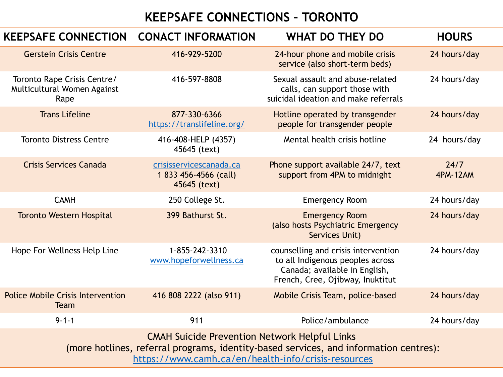## **KEEPSAFE CONNECTIONS – TORONTO**

| <b>KEEPSAFE CONNECTION</b>                                                                                                                                                                           | <b>CONACT INFORMATION</b>                                        | <b>WHAT DO THEY DO</b>                                                                                                                       | <b>HOURS</b>            |  |  |
|------------------------------------------------------------------------------------------------------------------------------------------------------------------------------------------------------|------------------------------------------------------------------|----------------------------------------------------------------------------------------------------------------------------------------------|-------------------------|--|--|
| <b>Gerstein Crisis Centre</b>                                                                                                                                                                        | 416-929-5200                                                     | 24-hour phone and mobile crisis<br>service (also short-term beds)                                                                            | 24 hours/day            |  |  |
| Toronto Rape Crisis Centre/<br>Multicultural Women Against<br>Rape                                                                                                                                   | 416-597-8808                                                     | Sexual assault and abuse-related<br>calls, can support those with<br>suicidal ideation and make referrals                                    | 24 hours/day            |  |  |
| <b>Trans Lifeline</b>                                                                                                                                                                                | 877-330-6366<br>https://translifeline.org/                       | Hotline operated by transgender<br>people for transgender people                                                                             | 24 hours/day            |  |  |
| <b>Toronto Distress Centre</b>                                                                                                                                                                       | 416-408-HELP (4357)<br>45645 (text)                              | Mental health crisis hotline                                                                                                                 | 24 hours/day            |  |  |
| <b>Crisis Services Canada</b>                                                                                                                                                                        | crisisservicescanada.ca<br>1 833 456-4566 (call)<br>45645 (text) | Phone support available 24/7, text<br>support from 4PM to midnight                                                                           | 24/7<br><b>4PM-12AM</b> |  |  |
| <b>CAMH</b>                                                                                                                                                                                          | 250 College St.                                                  | <b>Emergency Room</b>                                                                                                                        | 24 hours/day            |  |  |
| <b>Toronto Western Hospital</b>                                                                                                                                                                      | 399 Bathurst St.                                                 | <b>Emergency Room</b><br>(also hosts Psychiatric Emergency<br><b>Services Unit)</b>                                                          | 24 hours/day            |  |  |
| Hope For Wellness Help Line                                                                                                                                                                          | 1-855-242-3310<br>www.hopeforwellness.ca                         | counselling and crisis intervention<br>to all Indigenous peoples across<br>Canada; available in English,<br>French, Cree, Ojibway, Inuktitut | 24 hours/day            |  |  |
| <b>Police Mobile Crisis Intervention</b><br><b>Team</b>                                                                                                                                              | 416 808 2222 (also 911)                                          | Mobile Crisis Team, police-based                                                                                                             | 24 hours/day            |  |  |
| $9 - 1 - 1$                                                                                                                                                                                          | 911                                                              | Police/ambulance                                                                                                                             | 24 hours/day            |  |  |
| <b>CMAH Suicide Prevention Network Helpful Links</b><br>(more hotlines, referral programs, identity-based services, and information centres):<br>https://www.camh.ca/en/health-info/crisis-resources |                                                                  |                                                                                                                                              |                         |  |  |